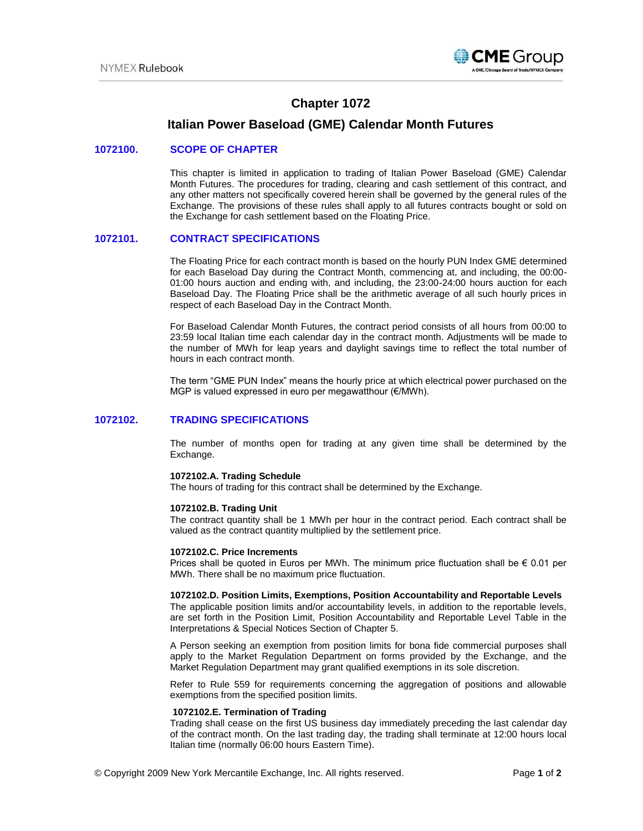

# **Chapter 1072**

## **Italian Power Baseload (GME) Calendar Month Futures**

### **1072100. SCOPE OF CHAPTER**

This chapter is limited in application to trading of Italian Power Baseload (GME) Calendar Month Futures. The procedures for trading, clearing and cash settlement of this contract, and any other matters not specifically covered herein shall be governed by the general rules of the Exchange. The provisions of these rules shall apply to all futures contracts bought or sold on the Exchange for cash settlement based on the Floating Price.

## **1072101. CONTRACT SPECIFICATIONS**

The Floating Price for each contract month is based on the hourly PUN Index GME determined for each Baseload Day during the Contract Month, commencing at, and including, the 00:00- 01:00 hours auction and ending with, and including, the 23:00-24:00 hours auction for each Baseload Day. The Floating Price shall be the arithmetic average of all such hourly prices in respect of each Baseload Day in the Contract Month.

For Baseload Calendar Month Futures, the contract period consists of all hours from 00:00 to 23:59 local Italian time each calendar day in the contract month. Adjustments will be made to the number of MWh for leap years and daylight savings time to reflect the total number of hours in each contract month.

The term "GME PUN Index" means the hourly price at which electrical power purchased on the MGP is valued expressed in euro per megawatthour (€/MWh).

## **1072102. TRADING SPECIFICATIONS**

The number of months open for trading at any given time shall be determined by the Exchange.

#### **1072102.A. Trading Schedule**

The hours of trading for this contract shall be determined by the Exchange.

#### **1072102.B. Trading Unit**

The contract quantity shall be 1 MWh per hour in the contract period. Each contract shall be valued as the contract quantity multiplied by the settlement price.

### **1072102.C. Price Increments**

Prices shall be quoted in Euros per MWh. The minimum price fluctuation shall be  $\epsilon$  0.01 per MWh. There shall be no maximum price fluctuation.

#### **1072102.D. Position Limits, Exemptions, Position Accountability and Reportable Levels**

The applicable position limits and/or accountability levels, in addition to the reportable levels, are set forth in the Position Limit, Position Accountability and Reportable Level Table in the Interpretations & Special Notices Section of Chapter 5.

A Person seeking an exemption from position limits for bona fide commercial purposes shall apply to the Market Regulation Department on forms provided by the Exchange, and the Market Regulation Department may grant qualified exemptions in its sole discretion.

Refer to Rule 559 for requirements concerning the aggregation of positions and allowable exemptions from the specified position limits.

#### **1072102.E. Termination of Trading**

Trading shall cease on the first US business day immediately preceding the last calendar day of the contract month. On the last trading day, the trading shall terminate at 12:00 hours local Italian time (normally 06:00 hours Eastern Time).